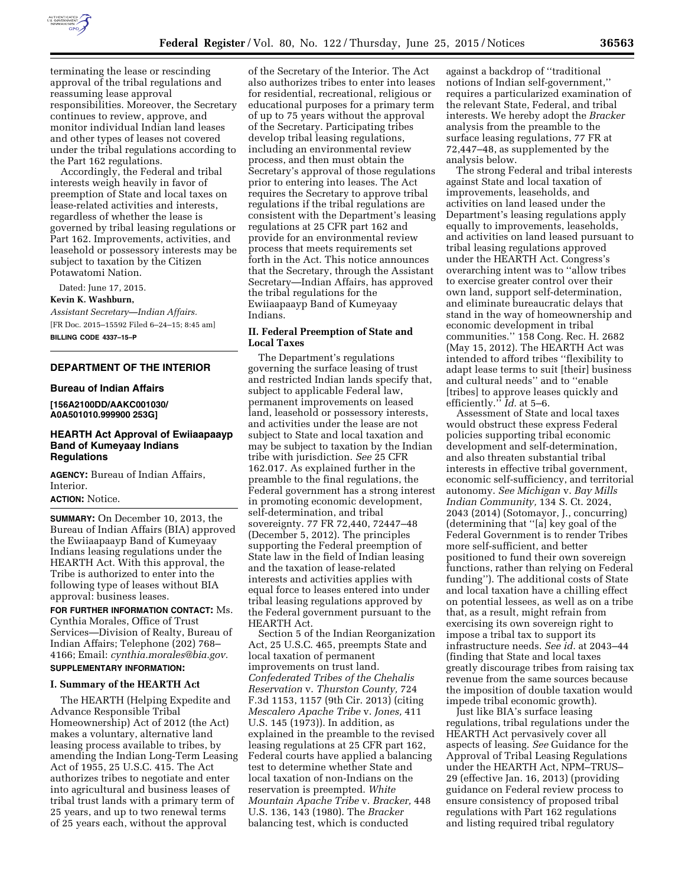

terminating the lease or rescinding approval of the tribal regulations and reassuming lease approval responsibilities. Moreover, the Secretary continues to review, approve, and monitor individual Indian land leases and other types of leases not covered under the tribal regulations according to the Part 162 regulations.

Accordingly, the Federal and tribal interests weigh heavily in favor of preemption of State and local taxes on lease-related activities and interests, regardless of whether the lease is governed by tribal leasing regulations or Part 162. Improvements, activities, and leasehold or possessory interests may be subject to taxation by the Citizen Potawatomi Nation.

Dated: June 17, 2015.

#### **Kevin K. Washburn,**

*Assistant Secretary—Indian Affairs.*  [FR Doc. 2015–15592 Filed 6–24–15; 8:45 am] **BILLING CODE 4337–15–P** 

### **DEPARTMENT OF THE INTERIOR**

#### **Bureau of Indian Affairs**

**[156A2100DD/AAKC001030/ A0A501010.999900 253G]** 

# **HEARTH Act Approval of Ewiiaapaayp Band of Kumeyaay Indians Regulations**

**AGENCY:** Bureau of Indian Affairs, Interior.

# **ACTION:** Notice.

**SUMMARY:** On December 10, 2013, the Bureau of Indian Affairs (BIA) approved the Ewiiaapaayp Band of Kumeyaay Indians leasing regulations under the HEARTH Act. With this approval, the Tribe is authorized to enter into the following type of leases without BIA approval: business leases.

**FOR FURTHER INFORMATION CONTACT:** Ms. Cynthia Morales, Office of Trust Services—Division of Realty, Bureau of Indian Affairs; Telephone (202) 768– 4166; Email: *[cynthia.morales@bia.gov.](mailto:cynthia.morales@bia.gov)* 

# **SUPPLEMENTARY INFORMATION:**

# **I. Summary of the HEARTH Act**

The HEARTH (Helping Expedite and Advance Responsible Tribal Homeownership) Act of 2012 (the Act) makes a voluntary, alternative land leasing process available to tribes, by amending the Indian Long-Term Leasing Act of 1955, 25 U.S.C. 415. The Act authorizes tribes to negotiate and enter into agricultural and business leases of tribal trust lands with a primary term of 25 years, and up to two renewal terms of 25 years each, without the approval

of the Secretary of the Interior. The Act also authorizes tribes to enter into leases for residential, recreational, religious or educational purposes for a primary term of up to 75 years without the approval of the Secretary. Participating tribes develop tribal leasing regulations, including an environmental review process, and then must obtain the Secretary's approval of those regulations prior to entering into leases. The Act requires the Secretary to approve tribal regulations if the tribal regulations are consistent with the Department's leasing regulations at 25 CFR part 162 and provide for an environmental review process that meets requirements set forth in the Act. This notice announces that the Secretary, through the Assistant Secretary—Indian Affairs, has approved the tribal regulations for the Ewiiaapaayp Band of Kumeyaay Indians.

# **II. Federal Preemption of State and Local Taxes**

The Department's regulations governing the surface leasing of trust and restricted Indian lands specify that, subject to applicable Federal law, permanent improvements on leased land, leasehold or possessory interests, and activities under the lease are not subject to State and local taxation and may be subject to taxation by the Indian tribe with jurisdiction. *See* 25 CFR 162.017. As explained further in the preamble to the final regulations, the Federal government has a strong interest in promoting economic development, self-determination, and tribal sovereignty. 77 FR 72,440, 72447–48 (December 5, 2012). The principles supporting the Federal preemption of State law in the field of Indian leasing and the taxation of lease-related interests and activities applies with equal force to leases entered into under tribal leasing regulations approved by the Federal government pursuant to the HEARTH Act.

Section 5 of the Indian Reorganization Act, 25 U.S.C. 465, preempts State and local taxation of permanent improvements on trust land. *Confederated Tribes of the Chehalis Reservation* v. *Thurston County,* 724 F.3d 1153, 1157 (9th Cir. 2013) (citing *Mescalero Apache Tribe* v. *Jones,* 411 U.S. 145 (1973)). In addition, as explained in the preamble to the revised leasing regulations at 25 CFR part 162, Federal courts have applied a balancing test to determine whether State and local taxation of non-Indians on the reservation is preempted. *White Mountain Apache Tribe* v. *Bracker,* 448 U.S. 136, 143 (1980). The *Bracker*  balancing test, which is conducted

against a backdrop of ''traditional notions of Indian self-government,'' requires a particularized examination of the relevant State, Federal, and tribal interests. We hereby adopt the *Bracker*  analysis from the preamble to the surface leasing regulations, 77 FR at 72,447–48, as supplemented by the analysis below.

The strong Federal and tribal interests against State and local taxation of improvements, leaseholds, and activities on land leased under the Department's leasing regulations apply equally to improvements, leaseholds, and activities on land leased pursuant to tribal leasing regulations approved under the HEARTH Act. Congress's overarching intent was to ''allow tribes to exercise greater control over their own land, support self-determination, and eliminate bureaucratic delays that stand in the way of homeownership and economic development in tribal communities.'' 158 Cong. Rec. H. 2682 (May 15, 2012). The HEARTH Act was intended to afford tribes ''flexibility to adapt lease terms to suit [their] business and cultural needs'' and to ''enable [tribes] to approve leases quickly and efficiently.'' *Id.* at 5–6.

Assessment of State and local taxes would obstruct these express Federal policies supporting tribal economic development and self-determination, and also threaten substantial tribal interests in effective tribal government, economic self-sufficiency, and territorial autonomy. *See Michigan* v. *Bay Mills Indian Community,* 134 S. Ct. 2024, 2043 (2014) (Sotomayor, J., concurring) (determining that ''[a] key goal of the Federal Government is to render Tribes more self-sufficient, and better positioned to fund their own sovereign functions, rather than relying on Federal funding''). The additional costs of State and local taxation have a chilling effect on potential lessees, as well as on a tribe that, as a result, might refrain from exercising its own sovereign right to impose a tribal tax to support its infrastructure needs. *See id.* at 2043–44 (finding that State and local taxes greatly discourage tribes from raising tax revenue from the same sources because the imposition of double taxation would impede tribal economic growth).

Just like BIA's surface leasing regulations, tribal regulations under the HEARTH Act pervasively cover all aspects of leasing. *See* Guidance for the Approval of Tribal Leasing Regulations under the HEARTH Act, NPM–TRUS– 29 (effective Jan. 16, 2013) (providing guidance on Federal review process to ensure consistency of proposed tribal regulations with Part 162 regulations and listing required tribal regulatory